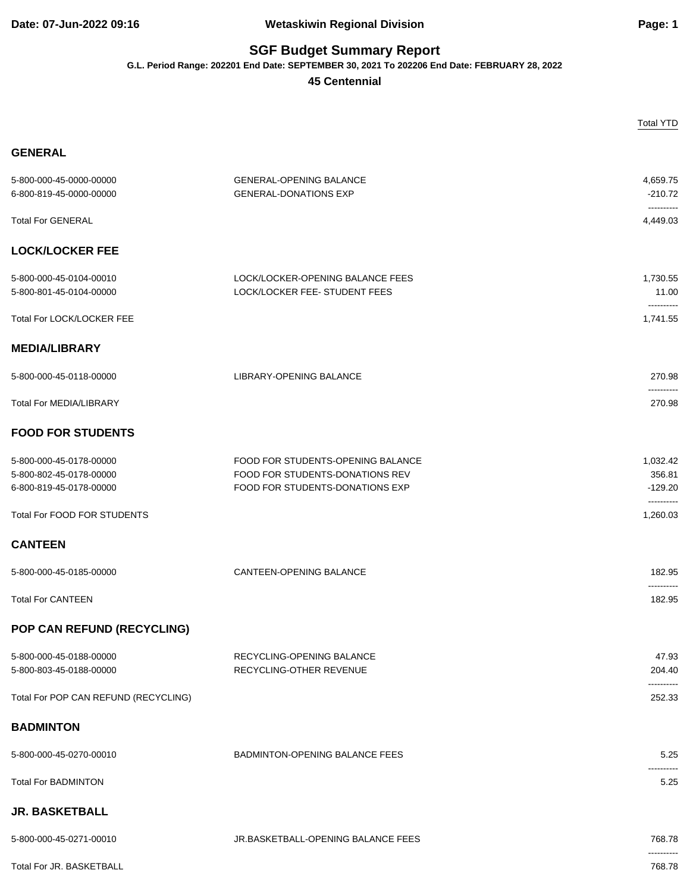## **Date: 07-Jun-2022 09:16 Wetaskiwin Regional Division Page: 1**

## **SGF Budget Summary Report**

**G.L. Period Range: 202201 End Date: SEPTEMBER 30, 2021 To 202206 End Date: FEBRUARY 28, 2022**

**45 Centennial**

|                                                                               |                                                                                                         | <b>Total YTD</b>                |
|-------------------------------------------------------------------------------|---------------------------------------------------------------------------------------------------------|---------------------------------|
| <b>GENERAL</b>                                                                |                                                                                                         |                                 |
| 5-800-000-45-0000-00000<br>6-800-819-45-0000-00000                            | <b>GENERAL-OPENING BALANCE</b><br><b>GENERAL-DONATIONS EXP</b>                                          | 4,659.75<br>$-210.72$           |
| <b>Total For GENERAL</b>                                                      |                                                                                                         | ----------<br>4,449.03          |
| <b>LOCK/LOCKER FEE</b>                                                        |                                                                                                         |                                 |
| 5-800-000-45-0104-00010<br>5-800-801-45-0104-00000                            | LOCK/LOCKER-OPENING BALANCE FEES<br>LOCK/LOCKER FEE- STUDENT FEES                                       | 1,730.55<br>11.00               |
| Total For LOCK/LOCKER FEE                                                     |                                                                                                         | ----------<br>1,741.55          |
| <b>MEDIA/LIBRARY</b>                                                          |                                                                                                         |                                 |
| 5-800-000-45-0118-00000                                                       | LIBRARY-OPENING BALANCE                                                                                 | 270.98                          |
| <b>Total For MEDIA/LIBRARY</b>                                                |                                                                                                         | <br>270.98                      |
| <b>FOOD FOR STUDENTS</b>                                                      |                                                                                                         |                                 |
| 5-800-000-45-0178-00000<br>5-800-802-45-0178-00000<br>6-800-819-45-0178-00000 | FOOD FOR STUDENTS-OPENING BALANCE<br>FOOD FOR STUDENTS-DONATIONS REV<br>FOOD FOR STUDENTS-DONATIONS EXP | 1,032.42<br>356.81<br>$-129.20$ |
| Total For FOOD FOR STUDENTS                                                   |                                                                                                         | ----------<br>1,260.03          |
| <b>CANTEEN</b>                                                                |                                                                                                         |                                 |
| 5-800-000-45-0185-00000                                                       | CANTEEN-OPENING BALANCE                                                                                 | 182.95                          |
| <b>Total For CANTEEN</b>                                                      |                                                                                                         | ----------<br>182.95            |
| POP CAN REFUND (RECYCLING)                                                    |                                                                                                         |                                 |
| 5-800-000-45-0188-00000<br>5-800-803-45-0188-00000                            | RECYCLING-OPENING BALANCE<br>RECYCLING-OTHER REVENUE                                                    | 47.93<br>204.40                 |
| Total For POP CAN REFUND (RECYCLING)                                          |                                                                                                         | 252.33                          |
| <b>BADMINTON</b>                                                              |                                                                                                         |                                 |
| 5-800-000-45-0270-00010                                                       | <b>BADMINTON-OPENING BALANCE FEES</b>                                                                   | 5.25                            |
| <b>Total For BADMINTON</b>                                                    |                                                                                                         | 5.25                            |
| <b>JR. BASKETBALL</b>                                                         |                                                                                                         |                                 |
| 5-800-000-45-0271-00010                                                       | JR.BASKETBALL-OPENING BALANCE FEES                                                                      | 768.78                          |
| Total For JR. BASKETBALL                                                      |                                                                                                         | ----------<br>768.78            |